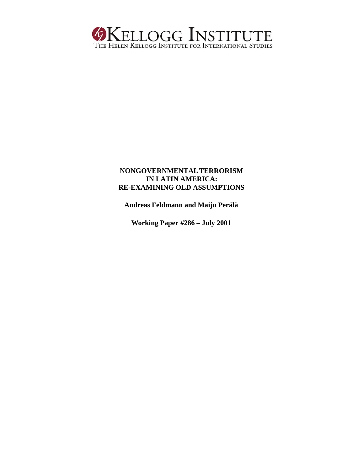

# **NONGOVERNMENTAL TERRORISM IN LATIN AMERICA: RE-EXAMINING OLD ASSUMPTIONS**

**Andreas Feldmann and Maiju Perälä**

**Working Paper #286 – July 2001**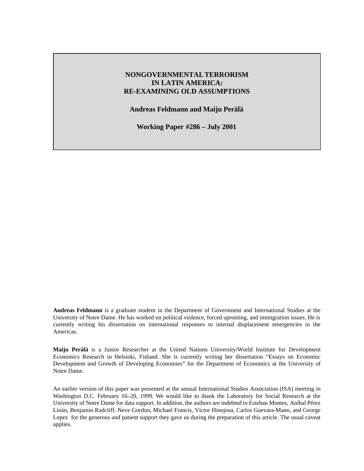# **NONGOVERNMENTALTERRORISM IN LATIN AMERICA: RE-EXAMINING OLD ASSUMPTIONS**

**Andreas Feldmann and Maiju Perälä**

**Working Paper #286 – July 2001**

**Andreas Feldmann** is a graduate student in the Department of Government and International Studies at the University of Notre Dame. He has worked on political violence, forced uprooting, and immigration issues. He is currently writing his dissertation on international responses to internal displacement emergencies in the Americas.

**Maiju Perälä** is a Junior Researcher at the United Nations University/World Institute for Development Economics Research in Helsinki, Finland. She is currently writing her dissertation "Essays on Economic Development and Growth of Developing Economies" for the Department of Economics at the University of Notre Dame.

An earlier version of this paper was presented at the annual International Studies Association (ISA) meeting in Washington D.C. February 16–20, 1999. We would like to thank the Laboratory for Social Research at the University of Notre Dame for data support. In addition, the authors are indebted to Esteban Montes, Aníbal Pérez Linán, Benjamin Radcliff, Neve Gordon, Michael Francis, Víctor Hinojosa, Carlos Guevara-Mann, and George Lopez for the generous and patient support they gave us during the preparation of this article. The usual caveat applies.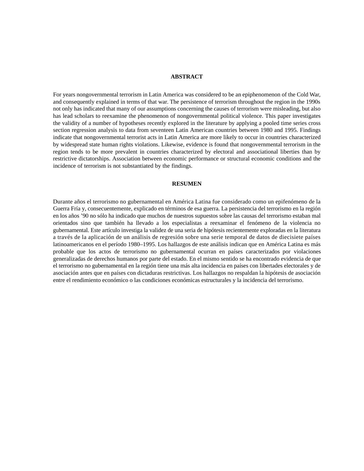#### **ABSTRACT**

For years nongovernmental terrorism in Latin America was considered to be an epiphenomenon of the Cold War, and consequently explained in terms of that war. The persistence of terrorism throughout the region in the 1990s not only has indicated that many of our assumptions concerning the causes of terrorism were misleading, but also has lead scholars to reexamine the phenomenon of nongovernmental political violence. This paper investigates the validity of a number of hypotheses recently explored in the literature by applying a pooled time series cross section regression analysis to data from seventeen Latin American countries between 1980 and 1995. Findings indicate that nongovernmental terrorist acts in Latin America are more likely to occur in countries characterized by widespread state human rights violations. Likewise, evidence is found that nongovernmental terrorism in the region tends to be more prevalent in countries characterized by electoral and associational liberties than by restrictive dictatorships. Association between economic performance or structural economic conditions and the incidence of terrorism is not substantiated by the findings.

#### **RESUMEN**

Durante años el terrorismo no gubernamental en América Latina fue considerado como un epifenómeno de la Guerra Fría y, consecuentemente, explicado en términos de esa guerra. La persistencia del terrorismo en la región en los años '90 no sólo ha indicado que muchos de nuestros supuestos sobre las causas del terrorismo estaban mal orientados sino que también ha llevado a los especialistas a reexaminar el fenómeno de la violencia no gubernamental. Este artículo investiga la validez de una seria de hipótesis recientemente exploradas en la literatura a través de la aplicación de un análisis de regresión sobre una serie temporal de datos de diecisiete países latinoamericanos en el período 1980–1995. Los hallazgos de este análisis indican que en América Latina es más probable que los actos de terrorismo no gubernamental ocurran en países caracterizados por violaciones generalizadas de derechos humanos por parte del estado. En el mismo sentido se ha encontrado evidencia de que el terrorismo no gubernamental en la región tiene una más alta incidencia en países con libertades electorales y de asociación antes que en países con dictaduras restrictivas. Los hallazgos no respaldan la hipótesis de asociación entre el rendimiento económico o las condiciones económicas estructurales y la incidencia del terrorismo.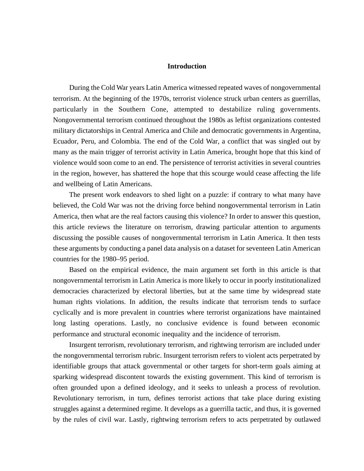# **Introduction**

During the Cold War years Latin America witnessed repeated waves of nongovernmental terrorism. At the beginning of the 1970s, terrorist violence struck urban centers as guerrillas, particularly in the Southern Cone, attempted to destabilize ruling governments. Nongovernmental terrorism continued throughout the 1980s as leftist organizations contested military dictatorships in Central America and Chile and democratic governments in Argentina, Ecuador, Peru, and Colombia. The end of the Cold War, a conflict that was singled out by many as the main trigger of terrorist activity in Latin America, brought hope that this kind of violence would soon come to an end. The persistence of terrorist activities in several countries in the region, however, has shattered the hope that this scourge would cease affecting the life and wellbeing of Latin Americans.

The present work endeavors to shed light on a puzzle: if contrary to what many have believed, the Cold War was not the driving force behind nongovernmental terrorism in Latin America, then what are the real factors causing this violence? In order to answer this question, this article reviews the literature on terrorism, drawing particular attention to arguments discussing the possible causes of nongovernmental terrorism in Latin America. It then tests these arguments by conducting a panel data analysis on a dataset for seventeen Latin American countries for the 1980–95 period.

Based on the empirical evidence, the main argument set forth in this article is that nongovernmental terrorism in Latin America is more likely to occur in poorly institutionalized democracies characterized by electoral liberties, but at the same time by widespread state human rights violations. In addition, the results indicate that terrorism tends to surface cyclically and is more prevalent in countries where terrorist organizations have maintained long lasting operations. Lastly, no conclusive evidence is found between economic performance and structural economic inequality and the incidence of terrorism.

Insurgent terrorism, revolutionary terrorism, and rightwing terrorism are included under the nongovernmental terrorism rubric. Insurgent terrorism refers to violent acts perpetrated by identifiable groups that attack governmental or other targets for short-term goals aiming at sparking widespread discontent towards the existing government. This kind of terrorism is often grounded upon a defined ideology, and it seeks to unleash a process of revolution. Revolutionary terrorism, in turn, defines terrorist actions that take place during existing struggles against a determined regime. It develops as a guerrilla tactic, and thus, it is governed by the rules of civil war. Lastly, rightwing terrorism refers to acts perpetrated by outlawed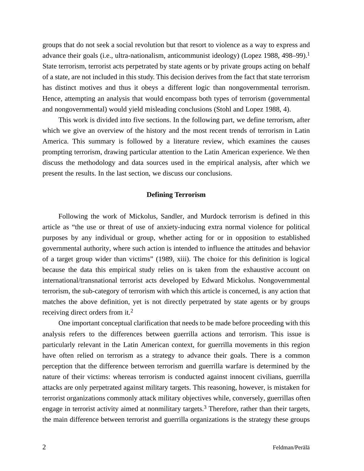groups that do not seek a social revolution but that resort to violence as a way to express and advance their goals (i.e., ultra-nationalism, anticommunist ideology) (Lopez 1988, 498–99).<sup>1</sup> State terrorism, terrorist acts perpetrated by state agents or by private groups acting on behalf of a state, are not included in this study. This decision derives from the fact that state terrorism has distinct motives and thus it obeys a different logic than nongovernmental terrorism. Hence, attempting an analysis that would encompass both types of terrorism (governmental and nongovernmental) would yield misleading conclusions (Stohl and Lopez 1988, 4).

This work is divided into five sections. In the following part, we define terrorism, after which we give an overview of the history and the most recent trends of terrorism in Latin America. This summary is followed by a literature review, which examines the causes prompting terrorism, drawing particular attention to the Latin American experience. We then discuss the methodology and data sources used in the empirical analysis, after which we present the results. In the last section, we discuss our conclusions.

### **Defining Terrorism**

Following the work of Mickolus, Sandler, and Murdock terrorism is defined in this article as "the use or threat of use of anxiety-inducing extra normal violence for political purposes by any individual or group, whether acting for or in opposition to established governmental authority, where such action is intended to influence the attitudes and behavior of a target group wider than victims" (1989, xiii). The choice for this definition is logical because the data this empirical study relies on is taken from the exhaustive account on international/transnational terrorist acts developed by Edward Mickolus. Nongovernmental terrorism, the sub-category of terrorism with which this article is concerned, is any action that matches the above definition, yet is not directly perpetrated by state agents or by groups receiving direct orders from it.<sup>2</sup>

One important conceptual clarification that needs to be made before proceeding with this analysis refers to the differences between guerrilla actions and terrorism. This issue is particularly relevant in the Latin American context, for guerrilla movements in this region have often relied on terrorism as a strategy to advance their goals. There is a common perception that the difference between terrorism and guerrilla warfare is determined by the nature of their victims: whereas terrorism is conducted against innocent civilians, guerrilla attacks are only perpetrated against military targets. This reasoning, however, is mistaken for terrorist organizations commonly attack military objectives while, conversely, guerrillas often engage in terrorist activity aimed at nonmilitary targets.<sup>3</sup> Therefore, rather than their targets, the main difference between terrorist and guerrilla organizations is the strategy these groups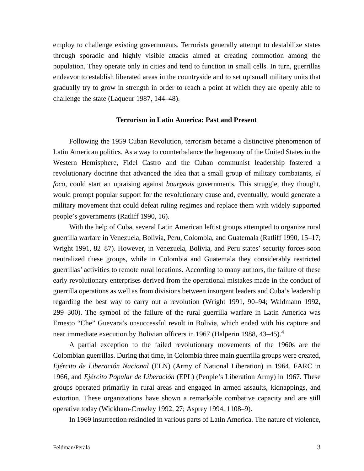employ to challenge existing governments. Terrorists generally attempt to destabilize states through sporadic and highly visible attacks aimed at creating commotion among the population. They operate only in cities and tend to function in small cells. In turn, guerrillas endeavor to establish liberated areas in the countryside and to set up small military units that gradually try to grow in strength in order to reach a point at which they are openly able to challenge the state (Laqueur 1987, 144–48).

### **Terrorism in Latin America: Past and Present**

Following the 1959 Cuban Revolution, terrorism became a distinctive phenomenon of Latin American politics. As a way to counterbalance the hegemony of the United States in the Western Hemisphere, Fidel Castro and the Cuban communist leadership fostered a revolutionary doctrine that advanced the idea that a small group of military combatants, *el foco*, could start an upraising against *bourgeois* governments. This struggle, they thought, would prompt popular support for the revolutionary cause and, eventually, would generate a military movement that could defeat ruling regimes and replace them with widely supported people's governments (Ratliff 1990, 16).

With the help of Cuba, several Latin American leftist groups attempted to organize rural guerrilla warfare in Venezuela, Bolivia, Peru, Colombia, and Guatemala (Ratliff 1990, 15–17; Wright 1991, 82–87). However, in Venezuela, Bolivia, and Peru states' security forces soon neutralized these groups, while in Colombia and Guatemala they considerably restricted guerrillas' activities to remote rural locations. According to many authors, the failure of these early revolutionary enterprises derived from the operational mistakes made in the conduct of guerrilla operations as well as from divisions between insurgent leaders and Cuba's leadership regarding the best way to carry out a revolution (Wright 1991, 90–94; Waldmann 1992, 299–300). The symbol of the failure of the rural guerrilla warfare in Latin America was Ernesto "Che" Guevara's unsuccessful revolt in Bolivia, which ended with his capture and near immediate execution by Bolivian officers in 1967 (Halperin 1988, 43–45).<sup>4</sup>

A partial exception to the failed revolutionary movements of the 1960s are the Colombian guerrillas. During that time, in Colombia three main guerrilla groups were created, *Ejército de Liberación Nacional* (ELN) (Army of National Liberation) in 1964, FARC in 1966, and *Ejército Popular de Liberación* (EPL) (People's Liberation Army) in 1967. These groups operated primarily in rural areas and engaged in armed assaults, kidnappings, and extortion. These organizations have shown a remarkable combative capacity and are still operative today (Wickham-Crowley 1992, 27; Asprey 1994, 1108–9).

In 1969 insurrection rekindled in various parts of Latin America. The nature of violence,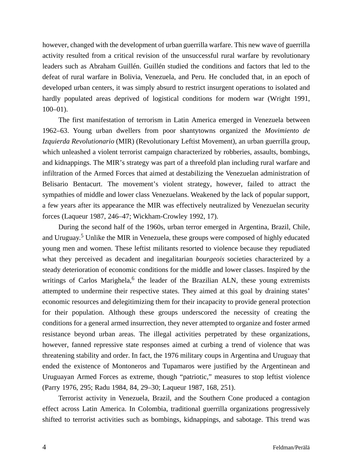however, changed with the development of urban guerrilla warfare. This new wave of guerrilla activity resulted from a critical revision of the unsuccessful rural warfare by revolutionary leaders such as Abraham Guillén. Guillén studied the conditions and factors that led to the defeat of rural warfare in Bolivia, Venezuela, and Peru. He concluded that, in an epoch of developed urban centers, it was simply absurd to restrict insurgent operations to isolated and hardly populated areas deprived of logistical conditions for modern war (Wright 1991,  $100-01$ ).

The first manifestation of terrorism in Latin America emerged in Venezuela between 1962–63. Young urban dwellers from poor shantytowns organized the *Movimiento de Izquierda Revolutionario* (MIR) (Revolutionary Leftist Movement), an urban guerrilla group, which unleashed a violent terrorist campaign characterized by robberies, assaults, bombings, and kidnappings. The MIR's strategy was part of a threefold plan including rural warfare and infiltration of the Armed Forces that aimed at destabilizing the Venezuelan administration of Belisario Bentacurt. The movement's violent strategy, however, failed to attract the sympathies of middle and lower class Venezuelans. Weakened by the lack of popular support, a few years after its appearance the MIR was effectively neutralized by Venezuelan security forces (Laqueur 1987, 246–47; Wickham-Crowley 1992, 17).

During the second half of the 1960s, urban terror emerged in Argentina, Brazil, Chile, and Uruguay. <sup>5</sup> Unlike the MIR in Venezuela, these groups were composed of highly educated young men and women. These leftist militants resorted to violence because they repudiated what they perceived as decadent and inegalitarian *bourgeois* societies characterized by a steady deterioration of economic conditions for the middle and lower classes. Inspired by the writings of Carlos Marighela,<sup>6</sup> the leader of the Brazilian ALN, these young extremists attempted to undermine their respective states. They aimed at this goal by draining states' economic resources and delegitimizing them for their incapacity to provide general protection for their population. Although these groups underscored the necessity of creating the conditions for a general armed insurrection, they never attempted to organize and foster armed resistance beyond urban areas. The illegal activities perpetrated by these organizations, however, fanned repressive state responses aimed at curbing a trend of violence that was threatening stability and order. In fact, the 1976 military coups in Argentina and Uruguay that ended the existence of Montoneros and Tupamaros were justified by the Argentinean and Uruguayan Armed Forces as extreme, though "patriotic," measures to stop leftist violence (Parry 1976, 295; Radu 1984, 84, 29–30; Laqueur 1987, 168, 251).

Terrorist activity in Venezuela, Brazil, and the Southern Cone produced a contagion effect across Latin America. In Colombia, traditional guerrilla organizations progressively shifted to terrorist activities such as bombings, kidnappings, and sabotage. This trend was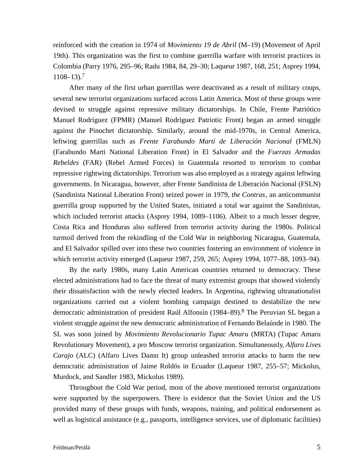reinforced with the creation in 1974 of *Movimiento 19 de Abril* (M–19) (Movement of April 19th). This organization was the first to combine guerrilla warfare with terrorist practices in Colombia (Parry 1976, 295–96; Radu 1984, 84, 29–30; Laqueur 1987, 168, 251; Asprey 1994,  $1108 - 13$ .<sup>7</sup>

After many of the first urban guerrillas were deactivated as a result of military coups, several new terrorist organizations surfaced across Latin America. Most of these groups were devised to struggle against repressive military dictatorships. In Chile, Frente Patriótico Manuel Rodríguez (FPMR) (Manuel Rodríguez Patriotic Front) began an armed struggle against the Pinochet dictatorship. Similarly, around the mid-1970s, in Central America, leftwing guerrillas such as *Frente Farabundo Martí de Liberación Nacional* (FMLN) (Farabundo Marti National Liberation Front) in El Salvador and the *Fuerzas Armadas Rebeldes* (FAR) (Rebel Armed Forces) in Guatemala resorted to terrorism to combat repressive rightwing dictatorships. Terrorism was also employed as a strategy against leftwing governments. In Nicaragua, however, after Frente Sandinista de Liberación Nacional (FSLN) (Sandinista National Liberation Front) seized power in 1979, *the Contras*, an anticommunist guerrilla group supported by the United States, initiated a total war against the Sandinistas, which included terrorist attacks (Asprey 1994, 1089–1106). Albeit to a much lesser degree, Costa Rica and Honduras also suffered from terrorist activity during the 1980s. Political turmoil derived from the rekindling of the Cold War in neighboring Nicaragua, Guatemala, and El Salvador spilled over into these two countries fostering an environment of violence in which terrorist activity emerged (Laqueur 1987, 259, 265; Asprey 1994, 1077–88, 1093–94).

By the early 1980s, many Latin American countries returned to democracy. These elected administrations had to face the threat of many extremist groups that showed violently their dissatisfaction with the newly elected leaders. In Argentina, rightwing ultranationalist organizations carried out a violent bombing campaign destined to destabilize the new democratic administration of president Raúl Alfonsín (1984–89).<sup>8</sup> The Peruvian SL began a violent struggle against the new democratic administration of Fernando Belaúnde in 1980. The SL was soon joined by *Movimiento Revolucionario Tupac Amaru* (MRTA) (Tupac Amaru Revolutionary Movement), a pro Moscow terrorist organization. Simultaneously, *Alfaro Lives Carajo* (ALC) (Alfaro Lives Damn It) group unleashed terrorist attacks to harm the new democratic administration of Jaime Roldós in Ecuador (Laqueur 1987, 255–57; Mickolus, Murdock, and Sandler 1983, Mickolus 1989).

Throughout the Cold War period, most of the above mentioned terrorist organizations were supported by the superpowers. There is evidence that the Soviet Union and the US provided many of these groups with funds, weapons, training, and political endorsement as well as logistical assistance (e.g., passports, intelligence services, use of diplomatic facilities)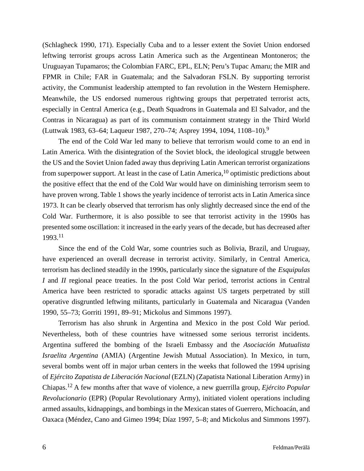(Schlagheck 1990, 171). Especially Cuba and to a lesser extent the Soviet Union endorsed leftwing terrorist groups across Latin America such as the Argentinean Montoneros; the Uruguayan Tupamaros; the Colombian FARC, EPL, ELN; Peru's Tupac Amaru; the MIR and FPMR in Chile; FAR in Guatemala; and the Salvadoran FSLN. By supporting terrorist activity, the Communist leadership attempted to fan revolution in the Western Hemisphere. Meanwhile, the US endorsed numerous rightwing groups that perpetrated terrorist acts, especially in Central America (e.g., Death Squadrons in Guatemala and El Salvador, and the Contras in Nicaragua) as part of its communism containment strategy in the Third World (Luttwak 1983, 63–64; Laqueur 1987, 270–74; Asprey 1994, 1094, 1108–10).<sup>9</sup>

The end of the Cold War led many to believe that terrorism would come to an end in Latin America. With the disintegration of the Soviet block, the ideological struggle between the US and the Soviet Union faded away thus depriving Latin American terrorist organizations from superpower support. At least in the case of Latin America,  $10$  optimistic predictions about the positive effect that the end of the Cold War would have on diminishing terrorism seem to have proven wrong. Table 1 shows the yearly incidence of terrorist acts in Latin America since 1973. It can be clearly observed that terrorism has only slightly decreased since the end of the Cold War. Furthermore, it is also possible to see that terrorist activity in the 1990s has presented some oscillation: it increased in the early years of the decade, but has decreased after 1993.<sup>11</sup>

Since the end of the Cold War, some countries such as Bolivia, Brazil, and Uruguay, have experienced an overall decrease in terrorist activity. Similarly, in Central America, terrorism has declined steadily in the 1990s, particularly since the signature of the *Esquipulas I* and *II* regional peace treaties. In the post Cold War period, terrorist actions in Central America have been restricted to sporadic attacks against US targets perpetrated by still operative disgruntled leftwing militants, particularly in Guatemala and Nicaragua (Vanden 1990, 55–73; Gorriti 1991, 89–91; Mickolus and Simmons 1997).

Terrorism has also shrunk in Argentina and Mexico in the post Cold War period. Nevertheless, both of these countries have witnessed some serious terrorist incidents. Argentina suffered the bombing of the Israeli Embassy and the *Asociación Mutualista Israelita Argentina* (AMIA) (Argentine Jewish Mutual Association). In Mexico, in turn, several bombs went off in major urban centers in the weeks that followed the 1994 uprising of *Ejército Zapatista de Liberación Nacional* (EZLN) (Zapatista National Liberation Army) in Chiapas.<sup>12</sup> A few months after that wave of violence, a new guerrilla group, *Ejército Popular Revolucionario* (EPR) (Popular Revolutionary Army), initiated violent operations including armed assaults, kidnappings, and bombings in the Mexican states of Guerrero, Michoacán, and Oaxaca (Méndez, Cano and Gimeo 1994; Díaz 1997, 5–8; and Mickolus and Simmons 1997).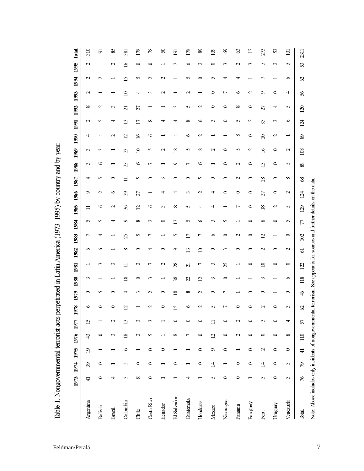|             |                |                | 1973 1974 1975 | 1976 1977             |                | 1978                     | 1979            | 1980                     | 1981                     | 1982            | 1983                     | 1984           | 1985            | 1986                        | 1987        | 1988            | 1989            | 1990                     | 1991            | 1992            | 1993            | 1994            | 1995            | Total               |
|-------------|----------------|----------------|----------------|-----------------------|----------------|--------------------------|-----------------|--------------------------|--------------------------|-----------------|--------------------------|----------------|-----------------|-----------------------------|-------------|-----------------|-----------------|--------------------------|-----------------|-----------------|-----------------|-----------------|-----------------|---------------------|
| Argentina   | $\overline{4}$ | 39             | $\overline{9}$ | 43                    | $\overline{1}$ | $\circ$                  | $\circ$         | 3                        | −                        | $\circ$         | $\overline{ }$           | S              | $\equiv$        | $\circ$                     | 4           | $\sim$          | $\mathcal{C}$   | ᆉ                        | $\mathbf{C}$    | $\infty$        | $\mathbf{\sim}$ | $\mathbf{\sim}$ | $\mathbf{\sim}$ | 310                 |
| Bolivia     | 0              | 0              |                | 0                     |                | 0                        | 5               |                          | 3                        | S               | 4                        | 5              | $\circ$         | $\sim$                      | 5           | $\circ$         | $\sim$          | ᆉ                        | 5               | $\sim$          |                 | $\sim$          |                 | 5                   |
| Brazil      |                |                |                | $\tilde{\phantom{0}}$ | $\sim$         | 0                        | 0               |                          | $\sim$                   |                 |                          | 4              | $\sim$          | $\circ$                     | $\circ$     |                 |                 | $\sim$                   | ᆉ               | $\sim$          |                 |                 | $\sim$          | 85                  |
| Colombia    | 3              | S              | 6              | $\overline{18}$       | ≌              | $\overline{\mathcal{C}}$ | 4               | $\infty$                 | ゠                        | $\infty$        | $\mathcal{L}$            | $\circ$        | $36\,$          | $\mathcal{L}^{\mathcal{O}}$ | $\equiv$    | $\mathcal{Z}$   | $\mathcal{Z}$   | $\overline{2}$           | $\overline{13}$ | $\overline{21}$ | $\mathbf{a}$    | $\overline{15}$ | $\tilde{=}$     | 381                 |
| Chile       | $^{\circ}$     | $\circ$        |                | $\overline{c}$        | 3              |                          | 3               | $\circ$                  | $\mathbf 2$              | $\circ$         | S                        | $\infty$       | $\overline{2}$  | 27                          | 5           | $\circ$         | $\supseteq$     | $\geq$                   | $\overline{17}$ | 27              | ₹               | 5               | $\circ$         | 178                 |
| Costa Rica  | $\circ$        | $\circ$        | $\circ$        | S                     | $\sim$         | $\mathbf{\sim}$          | $\mathbf{\sim}$ | $\sim$                   | $\overline{ }$           | ᆉ               | ↽                        | $\sim$         | ò               |                             | $\circ$     | $\overline{ }$  | S               | ð                        | $^{\circ}$      |                 | $\sim$          | $\mathbf{\sim}$ | $\circ$         | 78                  |
| Ecuador     |                |                | $\circ$        |                       |                | $\circ$                  | $\circ$         | $\overline{\phantom{0}}$ | $\mathbf{\sim}$          | $\circ$         |                          | 0              | $\mathcal{C}$   | 4                           | 3           |                 | $\mathbf{\sim}$ |                          | ₹               |                 | $\mathbf{\sim}$ | $\mathbf{\sim}$ |                 | $\mathcal{S}$       |
| El Salvador |                | $\circ$        |                | $^{\circ}$            | 0              | Ō                        | $\overline{18}$ | 38                       | $28\,$                   | Ó               | s                        | $\overline{2}$ | $\infty$        | ᆉ                           | 0           | Ó               | $\infty$        | ᆉ                        | 4               | 3               |                 |                 | $\mathbf{\sim}$ | $\overline{5}$      |
| Guatemala   |                |                |                | $\overline{ }$        | 0              | Ó                        | $\infty$        | $\overline{2}$           | $\overline{\mathcal{L}}$ | 13              | $\Box$                   | $\sim$         | $\sim$          | 3                           | $\circ$     | $\overline{r}$  | S               | $\circ$                  | $\infty$        | S               | $\mathbf{\sim}$ | S               | $\circ$         | 178                 |
| Honduras    |                | $\circ$        | $\circ$        | $\circ$               | 0              | $\mathbf{\sim}$          | $\mathbf{\sim}$ | $\overline{2}$           | $\overline{ }$           | $\overline{10}$ | $\overline{r}$           | $\circ$        | ᆉ               | 2                           | S           | $\circ$         | $\infty$        | $\mathbf 2$              | $\circ$         | 2               |                 | $\circ$         | $\mathbf{\sim}$ | 89                  |
| Mexico      | S              | $\overline{4}$ | $\circ$        | $\overline{12}$       |                | 5                        | $\circ$         | $\sim$                   | $\sim$                   | $\circ$         | $\circ$                  | $\epsilon$     | ᆉ               | 4                           | 0           |                 | $\sim$          |                          | $\mathcal{C}$   | $\circ$         | 0               | S               | $\circ$         | 109                 |
| Nicaragua   | 0              |                | 0              | $\circ$               | 0              | $\overline{ }$           | $\overline{ }$  | $\circ$                  | $\mathcal{Z}$            | $\sim$          | $\circ$                  | S              |                 | $\circ$                     | $\circ$     | $\circ$         | $\circ$         |                          | $\circ$         | $\circ$         | $\overline{r}$  | 4               | $\sim$          | $\pmb{\mathcal{S}}$ |
| Panama      | $\circ$        | $\circ$        |                | $\sim$                | 2              | 0                        |                 |                          | $\overline{\phantom{0}}$ | $\circ$         | $\mathbf 2$              |                | $\overline{ }$  | $\circ$                     | $\mathbf 2$ | $\mathbf{\sim}$ | S               | $^{\circ}$               | S               | $\infty$        | Ó               | +               | $\mathbf{\sim}$ | $\mathcal{C}$       |
| Paraguay    |                | $\circ$        | 0              | $\circ$               | 0              | 0                        | 0               |                          | 0                        | $\circ$         | $\circ$                  | 0              | $\circ$         | $\circ$                     | $\circ$     | $\circ$         | $\mathbf 2$     | $\circ$                  | $\sim$          | $\circ$         | $\mathbf{\sim}$ |                 | $\sim$          | $\overline{12}$     |
| Peru        | $\sim$         | 보              | $\sim$         | $\circ$               | $\sim$         | $\mathbf{\sim}$          | $\circ$         | $\sim$                   | $\approx$                | $\sim$          | $\overline{C}$           | $^{\circ}$     | $\overline{18}$ | 27                          | 28          | 13              | $\geq$          | $\approx$                | 35              | 27              | $\circ$         | Ļ               | S               | 273                 |
| Uruguay     | $\circ$        | $\circ$        | $\circ$        | $\circ$               | $\circ$        | $\circ$                  |                 |                          | 0                        | $\circ$         | $\overline{\phantom{0}}$ | $\circ$        | $\mathbf{\sim}$ | $\circ$                     | $\circ$     | $\circ$         | $\circ$         | $\sim$                   | $\mathcal{C}$   | 4               | 0               |                 | $\sim$          | 53                  |
| Venezuela   | $\sim$         | 3              | $\circ$        | ${}^{\circ}$          | 4              | 3                        | $\circ$         | $\circ$                  | $\circ$                  | $\mathbf{\sim}$ | $\circ$                  | 5              | 5               | $\mathbf 2$                 | $^{\circ}$  | 5               | $\mathbf{\sim}$ | $\overline{\phantom{0}}$ | $\circ$         | S               | 4               | $\circ$         | S               | $\overline{101}$    |
| Total       | $\gamma$       | 79             | $\pm$          | 110                   | 57             | $\mathcal{O}$            | $\frac{4}{5}$   | 118                      | 122                      | $\overline{5}$  | 102                      | 77             | 129             | 124                         | $\$ 9$      | $\bf 89$        | 108             | $\rm 89$                 | 124             | 120             | 56              | $\mathcal{O}$   | 53              | 2311                |

Table 1. Nongovernmental terrorist acts perpetrated in Latin America (1973-1995) by country and by year.

Note: Above includes only incidents of nongovernmental terrorism. See appendix for sources and further details on the data.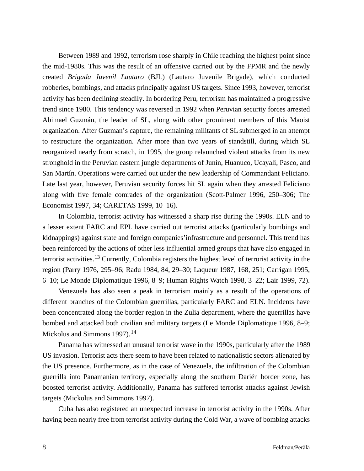Between 1989 and 1992, terrorism rose sharply in Chile reaching the highest point since the mid-1980s. This was the result of an offensive carried out by the FPMR and the newly created *Brigada Juvenil Lautaro* (BJL) (Lautaro Juvenile Brigade), which conducted robberies, bombings, and attacks principally against US targets. Since 1993, however, terrorist activity has been declining steadily. In bordering Peru, terrorism has maintained a progressive trend since 1980. This tendency was reversed in 1992 when Peruvian security forces arrested Abimael Guzmán, the leader of SL, along with other prominent members of this Maoist organization. After Guzman's capture, the remaining militants of SL submerged in an attempt to restructure the organization. After more than two years of standstill, during which SL reorganized nearly from scratch, in 1995, the group relaunched violent attacks from its new stronghold in the Peruvian eastern jungle departments of Junín, Huanuco, Ucayali, Pasco, and San Martín. Operations were carried out under the new leadership of Commandant Feliciano. Late last year, however, Peruvian security forces hit SL again when they arrested Feliciano along with five female comrades of the organization (Scott-Palmer 1996, 250–306; The Economist 1997, 34; CARETAS 1999, 10–16).

In Colombia, terrorist activity has witnessed a sharp rise during the 1990s. ELN and to a lesser extent FARC and EPL have carried out terrorist attacks (particularly bombings and kidnappings) against state and foreign companies'infrastructure and personnel. This trend has been reinforced by the actions of other less influential armed groups that have also engaged in terrorist activities.<sup>13</sup> Currently, Colombia registers the highest level of terrorist activity in the region (Parry 1976, 295–96; Radu 1984, 84, 29–30; Laqueur 1987, 168, 251; Carrigan 1995, 6–10; Le Monde Diplomatique 1996, 8–9; Human Rights Watch 1998, 3–22; Lair 1999, 72).

Venezuela has also seen a peak in terrorism mainly as a result of the operations of different branches of the Colombian guerrillas, particularly FARC and ELN. Incidents have been concentrated along the border region in the Zulia department, where the guerrillas have bombed and attacked both civilian and military targets (Le Monde Diplomatique 1996, 8–9; Mickolus and Simmons 1997). $14$ 

Panama has witnessed an unusual terrorist wave in the 1990s, particularly after the 1989 US invasion. Terrorist acts there seem to have been related to nationalistic sectors alienated by the US presence. Furthermore, as in the case of Venezuela, the infiltration of the Colombian guerrilla into Panamanian territory, especially along the southern Darién border zone, has boosted terrorist activity. Additionally, Panama has suffered terrorist attacks against Jewish targets (Mickolus and Simmons 1997).

Cuba has also registered an unexpected increase in terrorist activity in the 1990s. After having been nearly free from terrorist activity during the Cold War, a wave of bombing attacks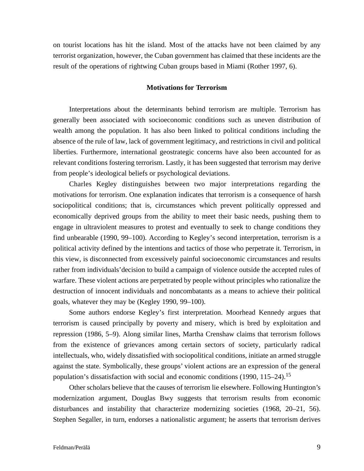on tourist locations has hit the island. Most of the attacks have not been claimed by any terrorist organization, however, the Cuban government has claimed that these incidents are the result of the operations of rightwing Cuban groups based in Miami (Rother 1997, 6).

## **Motivations for Terrorism**

Interpretations about the determinants behind terrorism are multiple. Terrorism has generally been associated with socioeconomic conditions such as uneven distribution of wealth among the population. It has also been linked to political conditions including the absence of the rule of law, lack of government legitimacy, and restrictions in civil and political liberties. Furthermore, international geostrategic concerns have also been accounted for as relevant conditions fostering terrorism. Lastly, it has been suggested that terrorism may derive from people's ideological beliefs or psychological deviations.

Charles Kegley distinguishes between two major interpretations regarding the motivations for terrorism. One explanation indicates that terrorism is a consequence of harsh sociopolitical conditions; that is, circumstances which prevent politically oppressed and economically deprived groups from the ability to meet their basic needs, pushing them to engage in ultraviolent measures to protest and eventually to seek to change conditions they find unbearable (1990, 99–100). According to Kegley's second interpretation, terrorism is a political activity defined by the intentions and tactics of those who perpetrate it. Terrorism, in this view, is disconnected from excessively painful socioeconomic circumstances and results rather from individuals'decision to build a campaign of violence outside the accepted rules of warfare. These violent actions are perpetrated by people without principles who rationalize the destruction of innocent individuals and noncombatants as a means to achieve their political goals, whatever they may be (Kegley 1990, 99–100).

Some authors endorse Kegley's first interpretation. Moorhead Kennedy argues that terrorism is caused principally by poverty and misery, which is bred by exploitation and repression (1986, 5–9). Along similar lines, Martha Crenshaw claims that terrorism follows from the existence of grievances among certain sectors of society, particularly radical intellectuals, who, widely dissatisfied with sociopolitical conditions, initiate an armed struggle against the state. Symbolically, these groups' violent actions are an expression of the general population's dissatisfaction with social and economic conditions (1990, 115–24).<sup>15</sup>

Other scholars believe that the causes of terrorism lie elsewhere. Following Huntington's modernization argument, Douglas Bwy suggests that terrorism results from economic disturbances and instability that characterize modernizing societies (1968, 20–21, 56). Stephen Segaller, in turn, endorses a nationalistic argument; he asserts that terrorism derives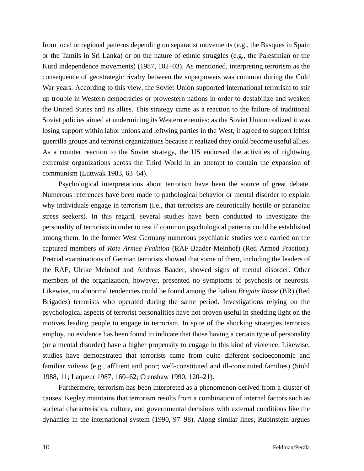from local or regional patterns depending on separatist movements (e.g., the Basques in Spain or the Tamils in Sri Lanka) or on the nature of ethnic struggles (e.g., the Palestinian or the Kurd independence movements) (1987, 102–03). As mentioned, interpreting terrorism as the consequence of geostrategic rivalry between the superpowers was common during the Cold War years. According to this view, the Soviet Union supported international terrorism to stir up trouble in Western democracies or prowestern nations in order to destabilize and weaken the United States and its allies. This strategy came as a reaction to the failure of traditional Soviet policies aimed at undermining its Western enemies: as the Soviet Union realized it was losing support within labor unions and leftwing parties in the West, it agreed to support leftist guerrilla groups and terrorist organizations because it realized they could become useful allies. As a counter reaction to the Soviet strategy, the US endorsed the activities of rightwing extremist organizations across the Third World in an attempt to contain the expansion of communism (Luttwak 1983, 63–64).

Psychological interpretations about terrorism have been the source of great debate. Numerous references have been made to pathological behavior or mental disorder to explain why individuals engage in terrorism (i.e., that terrorists are neurotically hostile or paranoiac stress seekers). In this regard, several studies have been conducted to investigate the personality of terrorists in order to test if common psychological patterns could be established among them. In the former West Germany numerous psychiatric studies were carried on the captured members of *Rote Armee Fraktion* (RAF-Baader-Meinhof) (Red Armed Fraction). Pretrial examinations of German terrorists showed that some of them, including the leaders of the RAF, Ulrike Meinhof and Andreas Baader, showed signs of mental disorder. Other members of the organization, however, presented no symptoms of psychosis or neurosis. Likewise, no abnormal tendencies could be found among the Italian *Brigate Rosse* (BR) (Red Brigades) terrorists who operated during the same period. Investigations relying on the psychological aspects of terrorist personalities have not proven useful in shedding light on the motives leading people to engage in terrorism. In spite of the shocking strategies terrorists employ, no evidence has been found to indicate that those having a certain type of personality (or a mental disorder) have a higher propensity to engage in this kind of violence. Likewise, studies have demonstrated that terrorists came from quite different socioeconomic and familiar *milieus* (e.g., affluent and poor; well-constituted and ill-constituted families) (Stohl 1988, 11; Laqueur 1987, 160–62; Crenshaw 1990, 120–21).

Furthermore, terrorism has been interpreted as a phenomenon derived from a cluster of causes. Kegley maintains that terrorism results from a combination of internal factors such as societal characteristics, culture, and governmental decisions with external conditions like the dynamics in the international system (1990, 97–98). Along similar lines, Rubinstein argues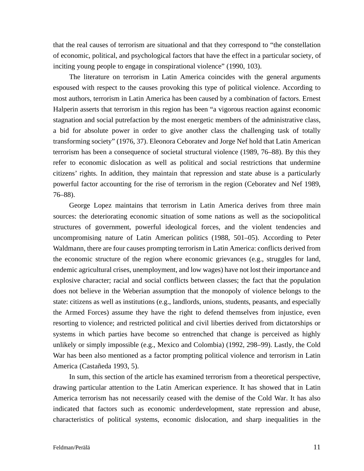that the real causes of terrorism are situational and that they correspond to "the constellation of economic, political, and psychological factors that have the effect in a particular society, of inciting young people to engage in conspirational violence" (1990, 103).

The literature on terrorism in Latin America coincides with the general arguments espoused with respect to the causes provoking this type of political violence. According to most authors, terrorism in Latin America has been caused by a combination of factors. Ernest Halperin asserts that terrorism in this region has been "a vigorous reaction against economic stagnation and social putrefaction by the most energetic members of the administrative class, a bid for absolute power in order to give another class the challenging task of totally transforming society" (1976, 37). Eleonora Ceboratev and Jorge Nef hold that Latin American terrorism has been a consequence of societal structural violence (1989, 76–88). By this they refer to economic dislocation as well as political and social restrictions that undermine citizens' rights. In addition, they maintain that repression and state abuse is a particularly powerful factor accounting for the rise of terrorism in the region (Ceboratev and Nef 1989, 76–88).

George Lopez maintains that terrorism in Latin America derives from three main sources: the deteriorating economic situation of some nations as well as the sociopolitical structures of government, powerful ideological forces, and the violent tendencies and uncompromising nature of Latin American politics (1988, 501–05). According to Peter Waldmann, there are four causes prompting terrorism in Latin America: conflicts derived from the economic structure of the region where economic grievances (e.g., struggles for land, endemic agricultural crises, unemployment, and low wages) have not lost their importance and explosive character; racial and social conflicts between classes; the fact that the population does not believe in the Weberian assumption that the monopoly of violence belongs to the state: citizens as well as institutions (e.g., landlords, unions, students, peasants, and especially the Armed Forces) assume they have the right to defend themselves from injustice, even resorting to violence; and restricted political and civil liberties derived from dictatorships or systems in which parties have become so entrenched that change is perceived as highly unlikely or simply impossible (e.g., Mexico and Colombia) (1992, 298–99). Lastly, the Cold War has been also mentioned as a factor prompting political violence and terrorism in Latin America (Castañeda 1993, 5).

In sum, this section of the article has examined terrorism from a theoretical perspective, drawing particular attention to the Latin American experience. It has showed that in Latin America terrorism has not necessarily ceased with the demise of the Cold War. It has also indicated that factors such as economic underdevelopment, state repression and abuse, characteristics of political systems, economic dislocation, and sharp inequalities in the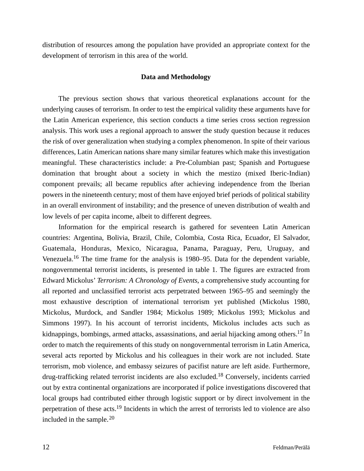distribution of resources among the population have provided an appropriate context for the development of terrorism in this area of the world.

## **Data and Methodology**

The previous section shows that various theoretical explanations account for the underlying causes of terrorism. In order to test the empirical validity these arguments have for the Latin American experience, this section conducts a time series cross section regression analysis. This work uses a regional approach to answer the study question because it reduces the risk of over generalization when studying a complex phenomenon. In spite of their various differences, Latin American nations share many similar features which make this investigation meaningful. These characteristics include: a Pre-Columbian past; Spanish and Portuguese domination that brought about a society in which the mestizo (mixed Iberic-Indian) component prevails; all became republics after achieving independence from the Iberian powers in the nineteenth century; most of them have enjoyed brief periods of political stability in an overall environment of instability; and the presence of uneven distribution of wealth and low levels of per capita income, albeit to different degrees.

Information for the empirical research is gathered for seventeen Latin American countries: Argentina, Bolivia, Brazil, Chile, Colombia, Costa Rica, Ecuador, El Salvador, Guatemala, Honduras, Mexico, Nicaragua, Panama, Paraguay, Peru, Uruguay, and Venezuela.<sup>16</sup> The time frame for the analysis is  $1980-95$ . Data for the dependent variable, nongovernmental terrorist incidents, is presented in table 1. The figures are extracted from Edward Mickolus' *Terrorism: A Chronology of Events*, a comprehensive study accounting for all reported and unclassified terrorist acts perpetrated between 1965–95 and seemingly the most exhaustive description of international terrorism yet published (Mickolus 1980, Mickolus, Murdock, and Sandler 1984; Mickolus 1989; Mickolus 1993; Mickolus and Simmons 1997). In his account of terrorist incidents, Mickolus includes acts such as kidnappings, bombings, armed attacks, assassinations, and aerial hijacking among others.<sup>17</sup> In order to match the requirements of this study on nongovernmental terrorism in Latin America, several acts reported by Mickolus and his colleagues in their work are not included. State terrorism, mob violence, and embassy seizures of pacifist nature are left aside. Furthermore, drug-trafficking related terrorist incidents are also excluded.<sup>18</sup> Conversely, incidents carried out by extra continental organizations are incorporated if police investigations discovered that local groups had contributed either through logistic support or by direct involvement in the perpetration of these acts.<sup>19</sup> Incidents in which the arrest of terrorists led to violence are also included in the sample. $20$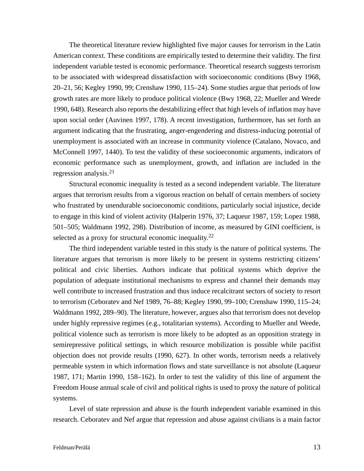The theoretical literature review highlighted five major causes for terrorism in the Latin American context. These conditions are empirically tested to determine their validity. The first independent variable tested is economic performance. Theoretical research suggests terrorism to be associated with widespread dissatisfaction with socioeconomic conditions (Bwy 1968, 20–21, 56; Kegley 1990, 99; Crenshaw 1990, 115–24). Some studies argue that periods of low growth rates are more likely to produce political violence (Bwy 1968, 22; Mueller and Weede 1990, 648). Research also reports the destabilizing effect that high levels of inflation may have upon social order (Auvinen 1997, 178). A recent investigation, furthermore, has set forth an argument indicating that the frustrating, anger-engendering and distress-inducing potential of unemployment is associated with an increase in community violence (Catalano, Novaco, and McConnell 1997, 1440). To test the validity of these socioeconomic arguments, indicators of economic performance such as unemployment, growth, and inflation are included in the regression analysis.<sup>21</sup>

Structural economic inequality is tested as a second independent variable. The literature argues that terrorism results from a vigorous reaction on behalf of certain members of society who frustrated by unendurable socioeconomic conditions, particularly social injustice, decide to engage in this kind of violent activity (Halperin 1976, 37; Laqueur 1987, 159; Lopez 1988, 501–505; Waldmann 1992, 298). Distribution of income, as measured by GINI coefficient, is selected as a proxy for structural economic inequality. $22$ 

The third independent variable tested in this study is the nature of political systems. The literature argues that terrorism is more likely to be present in systems restricting citizens' political and civic liberties. Authors indicate that political systems which deprive the population of adequate institutional mechanisms to express and channel their demands may well contribute to increased frustration and thus induce recalcitrant sectors of society to resort to terrorism (Ceboratev and Nef 1989, 76–88; Kegley 1990, 99–100; Crenshaw 1990, 115–24; Waldmann 1992, 289–90). The literature, however, argues also that terrorism does not develop under highly repressive regimes (e.g., totalitarian systems). According to Mueller and Weede, political violence such as terrorism is more likely to be adopted as an opposition strategy in semirepressive political settings, in which resource mobilization is possible while pacifist objection does not provide results (1990, 627). In other words, terrorism needs a relatively permeable system in which information flows and state surveillance is not absolute (Laqueur 1987, 171; Martin 1990, 158–162). In order to test the validity of this line of argument the Freedom House annual scale of civil and political rights is used to proxy the nature of political systems.

Level of state repression and abuse is the fourth independent variable examined in this research. Ceboratev and Nef argue that repression and abuse against civilians is a main factor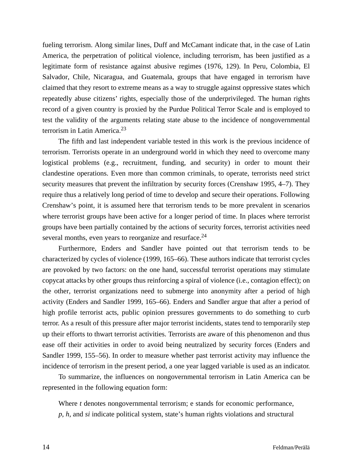fueling terrorism. Along similar lines, Duff and McCamant indicate that, in the case of Latin America, the perpetration of political violence, including terrorism, has been justified as a legitimate form of resistance against abusive regimes (1976, 129). In Peru, Colombia, El Salvador, Chile, Nicaragua, and Guatemala, groups that have engaged in terrorism have claimed that they resort to extreme means as a way to struggle against oppressive states which repeatedly abuse citizens' rights, especially those of the underprivileged. The human rights record of a given country is proxied by the Purdue Political Terror Scale and is employed to test the validity of the arguments relating state abuse to the incidence of nongovernmental terrorism in Latin America.<sup>23</sup>

The fifth and last independent variable tested in this work is the previous incidence of terrorism. Terrorists operate in an underground world in which they need to overcome many logistical problems (e.g., recruitment, funding, and security) in order to mount their clandestine operations. Even more than common criminals, to operate, terrorists need strict security measures that prevent the infiltration by security forces (Crenshaw 1995, 4–7). They require thus a relatively long period of time to develop and secure their operations. Following Crenshaw's point, it is assumed here that terrorism tends to be more prevalent in scenarios where terrorist groups have been active for a longer period of time. In places where terrorist groups have been partially contained by the actions of security forces, terrorist activities need several months, even years to reorganize and resurface.<sup>24</sup>

Furthermore, Enders and Sandler have pointed out that terrorism tends to be characterized by cycles of violence (1999, 165–66). These authors indicate that terrorist cycles are provoked by two factors: on the one hand, successful terrorist operations may stimulate copycat attacks by other groups thus reinforcing a spiral of violence (i.e., contagion effect); on the other, terrorist organizations need to submerge into anonymity after a period of high activity (Enders and Sandler 1999, 165–66). Enders and Sandler argue that after a period of high profile terrorist acts, public opinion pressures governments to do something to curb terror. As a result of this pressure after major terrorist incidents, states tend to temporarily step up their efforts to thwart terrorist activities. Terrorists are aware of this phenomenon and thus ease off their activities in order to avoid being neutralized by security forces (Enders and Sandler 1999, 155–56). In order to measure whether past terrorist activity may influence the incidence of terrorism in the present period, a one year lagged variable is used as an indicator.

To summarize, the influences on nongovernmental terrorism in Latin America can be represented in the following equation form:

Where *t* denotes nongovernmental terrorism; e stands for economic performance, *p*, *h*, and *si* indicate political system, state's human rights violations and structural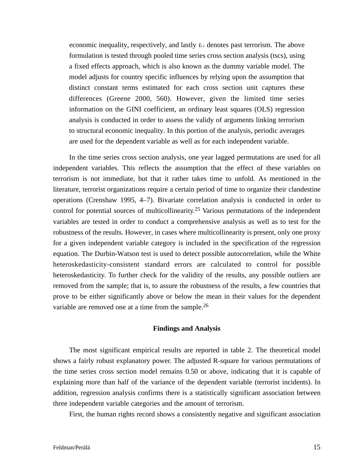economic inequality, respectively, and lastly  $t_{t-1}$  denotes past terrorism. The above formulation is tested through pooled time series cross section analysis (tscs), using a fixed effects approach, which is also known as the dummy variable model. The model adjusts for country specific influences by relying upon the assumption that distinct constant terms estimated for each cross section unit captures these differences (Greene 2000, 560). However, given the limited time series information on the GINI coefficient, an ordinary least squares (OLS) regression analysis is conducted in order to assess the validy of arguments linking terrorism to structural economic inequality. In this portion of the analysis, periodic averages are used for the dependent variable as well as for each independent variable.

In the time series cross section analysis, one year lagged permutations are used for all independent variables. This reflects the assumption that the effect of these variables on terrorism is not immediate, but that it rather takes time to unfold. As mentioned in the literature, terrorist organizations require a certain period of time to organize their clandestine operations (Crenshaw 1995, 4–7). Bivariate correlation analysis is conducted in order to control for potential sources of multicollinearity. <sup>25</sup> Various permutations of the independent variables are tested in order to conduct a comprehensive analysis as well as to test for the robustness of the results. However, in cases where multicollinearity is present, only one proxy for a given independent variable category is included in the specification of the regression equation. The Durbin-Watson test is used to detect possible autocorrelation, while the White heteroskedasticity-consistent standard errors are calculated to control for possible heteroskedasticity. To further check for the validity of the results, any possible outliers are removed from the sample; that is, to assure the robustness of the results, a few countries that prove to be either significantly above or below the mean in their values for the dependent variable are removed one at a time from the sample.<sup>26</sup>

#### **Findings and Analysis**

The most significant empirical results are reported in table 2. The theoretical model shows a fairly robust explanatory power. The adjusted R-square for various permutations of the time series cross section model remains 0.50 or above, indicating that it is capable of explaining more than half of the variance of the dependent variable (terrorist incidents). In addition, regression analysis confirms there is a statistically significant association between three independent variable categories and the amount of terrorism.

First, the human rights record shows a consistently negative and significant association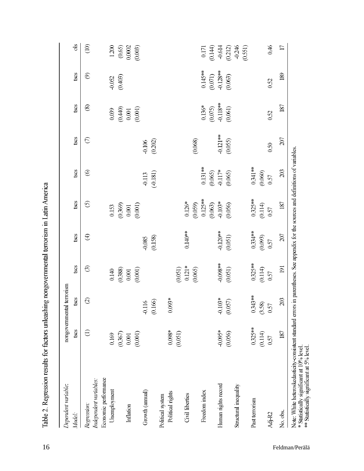| Model:                 |           | nongovernmental terrorism                                   |                         |                     |                                                                  |                      |                     |                                   |                                      |                                                                   |
|------------------------|-----------|-------------------------------------------------------------|-------------------------|---------------------|------------------------------------------------------------------|----------------------|---------------------|-----------------------------------|--------------------------------------|-------------------------------------------------------------------|
|                        | tses      | tscs                                                        | tscs                    | tscs                | tses                                                             | <b>iscs</b>          | tscs                | <b>iscs</b>                       | tsos                                 | ds                                                                |
| Regression:            | $\ominus$ | $\odot$                                                     | $\widehat{\odot}$       | $\bigoplus$         | $\odot$                                                          | $\odot$              | $\odot$             | $\circledast$                     | $\circledcirc$                       | $\odot$                                                           |
| Independent variables: |           |                                                             |                         |                     |                                                                  |                      |                     |                                   |                                      |                                                                   |
| Economic performance   |           |                                                             |                         |                     |                                                                  |                      |                     |                                   |                                      |                                                                   |
| Unemployment           | 0.169     |                                                             | $0.140\,$               |                     |                                                                  |                      |                     | 0.039                             |                                      |                                                                   |
|                        | (0.367)   |                                                             | (0.388)                 |                     |                                                                  |                      |                     | (0.440)                           | (0.052)                              | $\frac{1200}{(0.65)}$                                             |
| Inflation              | $0.001$   |                                                             | $0.001\,$               |                     | $\begin{array}{c} 0.153 \\ 0.369) \\ 0.001 \\ 0.001 \end{array}$ |                      |                     | $0.001\,$                         |                                      |                                                                   |
|                        | (0.001)   |                                                             | $(0.001)$               |                     |                                                                  |                      |                     | (0.001)                           |                                      | (0.003)                                                           |
| Growth (annual)        |           | $\circledS$<br>$\geq$<br>$\overline{0}$ .<br>$\overline{0}$ |                         | (0.158)<br>$-0.085$ |                                                                  | (0.181)<br>$0.113\,$ | $-0.106$<br>(0.202) |                                   |                                      |                                                                   |
| Political system       |           |                                                             |                         |                     |                                                                  |                      |                     |                                   |                                      |                                                                   |
| Political rights       | $0.098*$  | $0.093*$                                                    |                         |                     |                                                                  |                      |                     |                                   |                                      |                                                                   |
|                        | (0.051)   |                                                             |                         |                     |                                                                  |                      |                     |                                   |                                      |                                                                   |
| Civil liberties        |           |                                                             | $\binom{0.051}{0.121*}$ | $0.140**$           | $0.126*$                                                         |                      |                     |                                   |                                      |                                                                   |
|                        |           |                                                             | (0.065)                 |                     |                                                                  |                      | (0.068)             |                                   |                                      |                                                                   |
| Freedom index          |           |                                                             |                         |                     |                                                                  | $0.131**$            |                     | $0.136*$                          | $0.145***$                           |                                                                   |
|                        |           |                                                             |                         |                     |                                                                  | (0.065)              |                     |                                   |                                      |                                                                   |
| Human rights record    | $-0.095*$ | $103*$<br>$\overline{\phantom{0}}$                          | $-0.098**$              | $-0.120**$          | $(0.059)$<br>$0.125**$<br>$(0.063)$<br>$-0.103*$<br>$(0.056)$    | $0.117*$<br>(0.065)  | $-0.121**$          | $(0.075)$<br>0.118**<br>$(0.061)$ | $(0.071)$<br>$-0.128**$<br>$(0.063)$ | $\begin{array}{c} 0.171 \\ 0.144) \\ 0.614 \\ 0.212) \end{array}$ |
|                        | (0.056)   | (0.057)                                                     | (0.051)                 | (0.051)             |                                                                  |                      | (0.055)             |                                   |                                      |                                                                   |
| Structural inequality  |           |                                                             |                         |                     |                                                                  |                      |                     |                                   |                                      | $-0.246$<br>(0.551)                                               |
| Past terrorism         | $0.325**$ | $0.343**$                                                   | $0.325**$               | $0.334**$           | $0.325**$                                                        | $0.341**$            |                     |                                   |                                      |                                                                   |
|                        | (0.114)   |                                                             | (0.114)                 | (0.093)             | $(0.114)$                                                        | (0.060)              |                     |                                   |                                      |                                                                   |
| Ad <sub>r</sub> R2     | 0.57      | $\frac{(3.58)}{0.57}$                                       | 0.57                    | 0.57                | 0.57                                                             | 0.57                 | 0.50                | 052                               | 0.52                                 | 046                                                               |
| No. obs.               | 187       | 203                                                         | $\overline{191}$        | 207                 | 187                                                              | 203                  | 207                 | 187                               | 189                                  | $\Box$                                                            |

Table 2. Regression results for factors unleashing nongovernmental terrorism in Latin America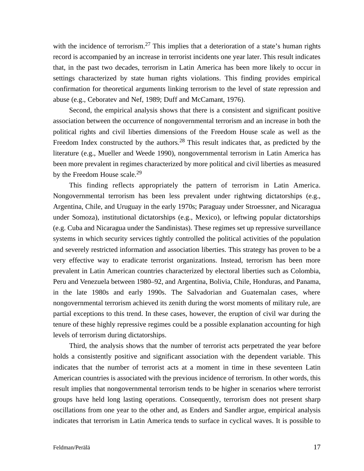with the incidence of terrorism.<sup>27</sup> This implies that a deterioration of a state's human rights record is accompanied by an increase in terrorist incidents one year later. This result indicates that, in the past two decades, terrorism in Latin America has been more likely to occur in settings characterized by state human rights violations. This finding provides empirical confirmation for theoretical arguments linking terrorism to the level of state repression and abuse (e.g., Ceboratev and Nef, 1989; Duff and McCamant, 1976).

Second, the empirical analysis shows that there is a consistent and significant positive association between the occurrence of nongovernmental terrorism and an increase in both the political rights and civil liberties dimensions of the Freedom House scale as well as the Freedom Index constructed by the authors.<sup>28</sup> This result indicates that, as predicted by the literature (e.g., Mueller and Weede 1990), nongovernmental terrorism in Latin America has been more prevalent in regimes characterized by more political and civil liberties as measured by the Freedom House scale.<sup>29</sup>

This finding reflects appropriately the pattern of terrorism in Latin America. Nongovernmental terrorism has been less prevalent under rightwing dictatorships (e.g., Argentina, Chile, and Uruguay in the early 1970s; Paraguay under Stroessner, and Nicaragua under Somoza), institutional dictatorships (e.g., Mexico), or leftwing popular dictatorships (e.g. Cuba and Nicaragua under the Sandinistas). These regimes set up repressive surveillance systems in which security services tightly controlled the political activities of the population and severely restricted information and association liberties. This strategy has proven to be a very effective way to eradicate terrorist organizations. Instead, terrorism has been more prevalent in Latin American countries characterized by electoral liberties such as Colombia, Peru and Venezuela between 1980–92, and Argentina, Bolivia, Chile, Honduras, and Panama, in the late 1980s and early 1990s. The Salvadorian and Guatemalan cases, where nongovernmental terrorism achieved its zenith during the worst moments of military rule, are partial exceptions to this trend. In these cases, however, the eruption of civil war during the tenure of these highly repressive regimes could be a possible explanation accounting for high levels of terrorism during dictatorships.

Third, the analysis shows that the number of terrorist acts perpetrated the year before holds a consistently positive and significant association with the dependent variable. This indicates that the number of terrorist acts at a moment in time in these seventeen Latin American countries is associated with the previous incidence of terrorism. In other words, this result implies that nongovernmental terrorism tends to be higher in scenarios where terrorist groups have held long lasting operations. Consequently, terrorism does not present sharp oscillations from one year to the other and, as Enders and Sandler argue, empirical analysis indicates that terrorism in Latin America tends to surface in cyclical waves. It is possible to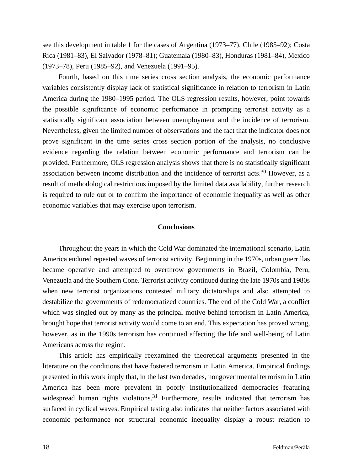see this development in table 1 for the cases of Argentina (1973–77), Chile (1985–92); Costa Rica (1981–83), El Salvador (1978–81); Guatemala (1980–83), Honduras (1981–84), Mexico (1973–78), Peru (1985–92), and Venezuela (1991–95).

Fourth, based on this time series cross section analysis, the economic performance variables consistently display lack of statistical significance in relation to terrorism in Latin America during the 1980–1995 period. The OLS regression results, however, point towards the possible significance of economic performance in prompting terrorist activity as a statistically significant association between unemployment and the incidence of terrorism. Nevertheless, given the limited number of observations and the fact that the indicator does not prove significant in the time series cross section portion of the analysis, no conclusive evidence regarding the relation between economic performance and terrorism can be provided. Furthermore, OLS regression analysis shows that there is no statistically significant association between income distribution and the incidence of terrorist acts.<sup>30</sup> However, as a result of methodological restrictions imposed by the limited data availability, further research is required to rule out or to confirm the importance of economic inequality as well as other economic variables that may exercise upon terrorism.

## **Conclusions**

Throughout the years in which the Cold War dominated the international scenario, Latin America endured repeated waves of terrorist activity. Beginning in the 1970s, urban guerrillas became operative and attempted to overthrow governments in Brazil, Colombia, Peru, Venezuela and the Southern Cone. Terrorist activity continued during the late 1970s and 1980s when new terrorist organizations contested military dictatorships and also attempted to destabilize the governments of redemocratized countries. The end of the Cold War, a conflict which was singled out by many as the principal motive behind terrorism in Latin America, brought hope that terrorist activity would come to an end. This expectation has proved wrong, however, as in the 1990s terrorism has continued affecting the life and well-being of Latin Americans across the region.

This article has empirically reexamined the theoretical arguments presented in the literature on the conditions that have fostered terrorism in Latin America. Empirical findings presented in this work imply that, in the last two decades, nongovernmental terrorism in Latin America has been more prevalent in poorly institutionalized democracies featuring widespread human rights violations.<sup>31</sup> Furthermore, results indicated that terrorism has surfaced in cyclical waves. Empirical testing also indicates that neither factors associated with economic performance nor structural economic inequality display a robust relation to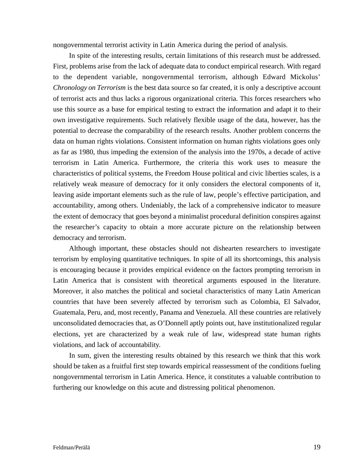nongovernmental terrorist activity in Latin America during the period of analysis.

In spite of the interesting results, certain limitations of this research must be addressed. First, problems arise from the lack of adequate data to conduct empirical research. With regard to the dependent variable, nongovernmental terrorism, although Edward Mickolus' *Chronology on Terrorism* is the best data source so far created, it is only a descriptive account of terrorist acts and thus lacks a rigorous organizational criteria. This forces researchers who use this source as a base for empirical testing to extract the information and adapt it to their own investigative requirements. Such relatively flexible usage of the data, however, has the potential to decrease the comparability of the research results. Another problem concerns the data on human rights violations. Consistent information on human rights violations goes only as far as 1980, thus impeding the extension of the analysis into the 1970s, a decade of active terrorism in Latin America. Furthermore, the criteria this work uses to measure the characteristics of political systems, the Freedom House political and civic liberties scales, is a relatively weak measure of democracy for it only considers the electoral components of it, leaving aside important elements such as the rule of law, people's effective participation, and accountability, among others. Undeniably, the lack of a comprehensive indicator to measure the extent of democracy that goes beyond a minimalist procedural definition conspires against the researcher's capacity to obtain a more accurate picture on the relationship between democracy and terrorism.

Although important, these obstacles should not dishearten researchers to investigate terrorism by employing quantitative techniques. In spite of all its shortcomings, this analysis is encouraging because it provides empirical evidence on the factors prompting terrorism in Latin America that is consistent with theoretical arguments espoused in the literature. Moreover, it also matches the political and societal characteristics of many Latin American countries that have been severely affected by terrorism such as Colombia, El Salvador, Guatemala, Peru, and, most recently, Panama and Venezuela. All these countries are relatively unconsolidated democracies that, as O'Donnell aptly points out, have institutionalized regular elections, yet are characterized by a weak rule of law, widespread state human rights violations, and lack of accountability.

In sum, given the interesting results obtained by this research we think that this work should be taken as a fruitful first step towards empirical reassessment of the conditions fueling nongovernmental terrorism in Latin America. Hence, it constitutes a valuable contribution to furthering our knowledge on this acute and distressing political phenomenon.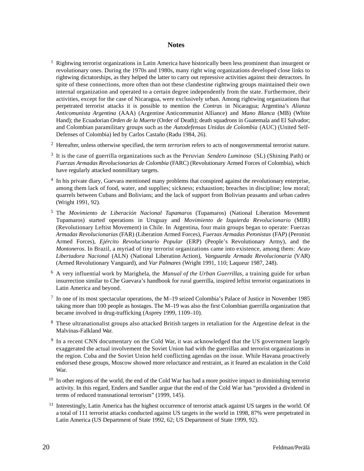#### **Notes**

- $1$  Rightwing terrorist organizations in Latin America have historically been less prominent than insurgent or revolutionary ones. During the 1970s and 1980s, many right wing organizations developed close links to rightwing dictatorships, as they helped the latter to carry out repressive activities against their detractors. In spite of these connections, more often than not these clandestine rightwing groups maintained their own internal organization and operated to a certain degree independently from the state. Furthermore, their activities, except for the case of Nicaragua, were exclusively urban. Among rightwing organizations that perpetrated terrorist attacks it is possible to mention the *Contras* in Nicaragua; Argentina's *Alianza Anticomunista Argentina* (AAA) (Argentine Anticommunist Alliance) and *Mano Blanca* (MB) (White Hand); the Ecuadorian *Orden de la Muerte* (Order of Death); death squadrons in Guatemala and El Salvador; and Colombian paramilitary groups such as the *Autodefensas Unidas de Colombia* (AUC) (United Self-Defenses of Colombia) led by Carlos Castaño (Radu 1984, 26).
- <sup>2</sup> Hereafter, unless otherwise specified, the term *terrorism* refers to acts of nongovernmental terrorist nature.
- <sup>3</sup> It is the case of guerrilla organizations such as the Peruvian *Sendero Luminoso* (SL) (Shining Path) or *Fuerzas Armadas Revolucionarias de Colombia* ( FARC) (Revolutionary Armed Forces of Colombia), which have regularly attacked nonmilitary targets.
- <sup>4</sup> In his private diary, Guevara mentioned many problems that conspired against the revolutionary enterprise, among them lack of food, water, and supplies; sickness; exhaustion; breaches in discipline; low moral; quarrels between Cubans and Bolivians; and the lack of support from Bolivian peasants and urban cadres ( Wright 1991, 92).
- <sup>5</sup> The *Movimiento de Liberación Nacional Tupamaros* (Tupamaros) (National Liberation Movement Tupamaros) started operations in Uruguay and *Movimiento de Izquierda Revolucionario* (MIR) (Revolutionary Leftist Movement) in Chile. In A rgentina, four main groups began to operate: Fuerzas *Armadas Revolucionarias* ( FAR) (Liberation Armed Forces), *Fuerzas Armadas Pero n i s t a s* ( FAP) (Peronist Armed Forces), *Ejército Revolucionario Popular* (ERP) (People's Revolutionary Army), and the *Montoneros*. In Brazil, a myriad of tiny terrorist organizations came into existence, among them: *Acao* Libertadora Nacional (ALN) (National Liberation Action), *Vanguarda Armada Revolucionaria* (VAR) (Armed Revolutionary Vanguard), and *Var Palmare s* ( Wright 1991, 110; Laqueur 1987, 248).
- <sup>6</sup> A very influential work by Marighela, the *Manual of the Urban Guerrillas*, a training guide for urban insurrection similar to Che Guevara's handbook for rural guerrilla, inspired leftist terrorist organizations in Latin America and beyond.
- <sup>7</sup> In one of its most spectacular operations, the M–19 seized Colombia's Palace of Justice in November 1985 taking more than 100 people as hostages. The M–19 was also the first Colombian guerrilla organization that became involved in drug-trafficking (Asprey 1999, 1109–10).
- <sup>8</sup> These ultranationalist groups also attacked British targets in retaliation for the Argentine defeat in the Malvinas-Falkland War.
- <sup>9</sup> In a recent CNN documentary on the Cold War, it was acknowledged that the US government largely exaggerated the actual involvement the Soviet Union had with the guerrillas and terrorist organizations in the region. Cuba and the Soviet Union held conflicting agendas on the issue. While Havana proactively endorsed these groups, Moscow showed more reluctance and restraint, as it feared an escalation in the Cold War.
- $10$  In other regions of the world, the end of the Cold War has had a more positive impact in diminishing terrorist activity. In this regard, Enders and Sandler argue that the end of the Cold War has "provided a dividend in terms of reduced transnational terrorism" (1999, 145).
- $11$  Interestingly, Latin America has the highest occurrence of terrorist attack against US targets in the world. Of a total of 111 terrorist attacks conducted against US targets in the world in 1998, 87% were perpetrated in Latin America (US Department of State 1992, 62; US Department of State 1999, 92).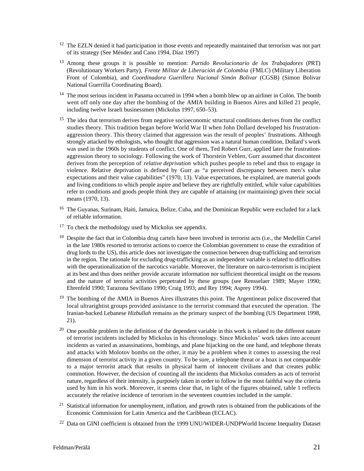- $12$  The EZLN denied it had participation in those events and repeatedly maintained that terrorism was not part of its strategy (See Méndez and Cano 1994, Díaz 1997)
- <sup>13</sup> Among these groups it is possible to mention: *Partido Revolucionario de los Trabajadores* (PRT) (Revolutionary Workers Party), *F rente Militar de Liberación de Colombia* (FMLC) (Military Liberation Front of Colombia), and *Coordinadora Guerillera Nacional Simón Bolivar* (CGSB) (Simon Bolivar National Guerrilla Coordinating Board).
- <sup>14</sup> The most serious incident in Panama occurred in 1994 when a bomb blew up an airliner in Colón. The bomb went off only one day after the bombing of the AMIA building in Buenos Aires and killed 21 people, including twelve Israeli businessmen (Mickolus 1997, 650–53).
- $15$  The idea that terrorism derives from negative socioeconomic structural conditions derives from the conflict studies theory. This tradition began before World War II when John Dollard developed his frustrationaggression theory. This theory claimed that aggression was the result of peoples' frustrations. Although strongly attacked by ethologists, who thought that aggression was a natural human condition, Dollard's work was used in the 1960s by students of conflict. One of them, Ted Robert Gurr, applied later the frustrationaggression theory to sociology. Following the work of Thorstein Veblen, Gurr assumed that discontent derives from the perception of *relative deprivation* which pushes people to rebel and thus to engage in violence. Relative deprivation is defined by Gurr as "a perceived discrepancy between men's value expectations and their value capabilities" (1970, 13). Value expectations, he explained, are material goods and living conditions to which people aspire and believe they are rightfully entitled, while value capabilities refer to conditions and goods people think they are capable of attaining (or maintaining) given their social means (1970, 13).
- <sup>16</sup> The Guyanas, Surinam, Haiti, Jamaica, Belize, Cuba, and the Dominican Republic were excluded for a lack of reliable information.
- $17$  To check the methodology used by Mickolus see appendix.
- <sup>18</sup> Despite the fact that in Colombia drug cartels have been involved in terrorist acts (i.e., the Medellín Cartel in the late 1980s resorted to terrorist actions to coerce the Colombian government to cease the extradition of drug lords to the US), this article does not investigate the connection between drug-trafficking and terrorism in the region. The rationale for excluding drug-trafficking as an independent variable is related to difficulties with the operationalization of the narcotics variable. Moreover, the literature on narco-terrorism is incipient at its best and thus does neither provide accurate information nor sufficient theoretical insight on the reasons and the nature of terrorist activities perpetrated by these groups (see Rensselaer 1989; Mayer 1990; Ehrenfeld 1990; Tarazona Sevillano 1990; Craig 1993; and Rey 1994; Asprey 1994).
- $19$  The bombing of the AMIA in Buenos Aires illustrates this point. The Argentinean police discovered that local ultrarightist groups provided assistance to the terrorist command that executed the operation. The Iranian-backed Lebanese *Hizbullah* remains as the primary suspect of the bombing (US Department 1998,  $21$ .
- $20$  One possible problem in the definition of the dependent variable in this work is related to the different nature of terrorist incidents included by Mickolus in his chronology. Since Mickolus' work takes into account incidents as varied as assassinations, bombings, and plane hijacking on the one hand, and telephone threats and attacks with Molotov bombs on the other, it may be a problem when it comes to assessing the real dimension of terrorist activity in a given country. To be sure, a telephone threat or a hoax is not comparable to a major terrorist attack that results in physical harm of innocent civilians and that creates public commotion. However, the decision of counting all the incidents that Mickolus considers as acts of terrorist nature, regardless of their intensity, is purposely taken in order to follow in the most faithful way the criteria used by him in his work. Moreover, it seems clear that, in light of the figures obtained, table 1 reflects accurately the relative incidence of terrorism in the seventeen countries included in the sample.
- $21$  Statistical information for unemployment, inflation, and growth rates is obtained from the publications of the Economic Commission for Latin America and the Caribbean (ECLAC).
- $^{22}$  Data on GINI coefficient is obtained from the 1999 UNU/WIDER-UNDPWorld Income Inequality Dataset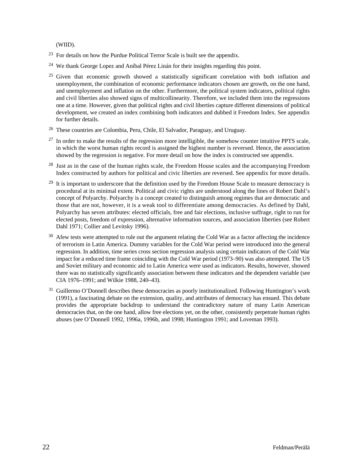(WIID).

- $23$  For details on how the Purdue Political Terror Scale is built see the appendix.
- <sup>24</sup> We thank George Lopez and Aníbal Pérez Linán for their insights regarding this point.
- <sup>25</sup> Given that economic growth showed a statistically significant correlation with both inflation and unemployment, the combination of economic performance indicators chosen are growth, on the one hand, and unemployment and inflation on the other. Furthermore, the political system indicators, political rights and civil liberties also showed signs of multicollinearity. Therefore, we included them into the regressions one at a time. However, given that political rights and civil liberties capture different dimensions of political development, we created an index combining both indicators and dubbed it Freedom Index. See appendix for further details.
- <sup>26</sup> These countries are Colombia, Peru, Chile, El Salvador, Paraguay, and Uruguay.
- $27$  In order to make the results of the regression more intelligible, the somehow counter intuitive PPTS scale, in which the worst human rights record is assigned the highest number is reversed. Hence, the association showed by the regression is negative. For more detail on how the index is constructed see appendix.
- $28$  Just as in the case of the human rights scale, the Freedom House scales and the accompanying Freedom Index constructed by authors for political and civic liberties are reversed. See appendix for more details.
- <sup>29</sup> It is important to underscore that the definition used by the Freedom House Scale to measure democracy is procedural at its minimal extent. Political and civic rights are understood along the lines of Robert Dahl's concept of Polyarchy. Polyarchy is a concept created to distinguish among regimes that are democratic and those that are not, however, it is a weak tool to differentiate among democracies. As defined by Dahl, Polyarchy has seven attributes: elected officials, free and fair elections, inclusive suffrage, right to run for elected posts, freedom of expression, alternative information sources, and association liberties (see Robert Dahl 1971; Collier and Levitsky 1996).
- $30\text{ Afew}$  tests were attempted to rule out the argument relating the Cold War as a factor affecting the incidence of terrorism in Latin America. Dummy variables for the Cold War period were introduced into the general regression. In addition, time series cross section regression analysis using certain indicators of the Cold War impact for a reduced time frame coinciding with the Cold War period (1973–90) was also attempted. The US and Soviet military and economic aid to Latin America were used as indicators. Results, however, showed there was no statistically significantly association between these indicators and the dependent variable (see CIA 1976–1991; and Wilkie 1988, 240–43).
- $31$  Guillermo O'Donnell describes these democracies as poorly institutionalized. Following Huntington's work (1991), a fascinating debate on the extension, quality, and attributes of democracy has ensued. This debate provides the appropriate backdrop to understand the contradictory nature of many Latin American democracies that, on the one hand, allow free elections yet, on the other, consistently perpetrate human rights abuses (see O'Donnell 1992, 1996a, 1996b, and 1998; Huntington 1991; and Loveman 1993).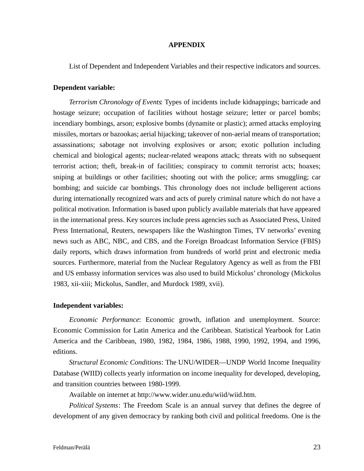#### **A P P E N D I X**

List of Dependent and Independent Variables and their respective indicators and sources.

## **Dependent variable:**

*Te rrorism Chronology of Events*: Types of incidents include kidnappings; barricade and hostage seizure; occupation of facilities without hostage seizure; letter or parcel bombs; incendiary bombings, arson; explosive bombs (dynamite or plastic); armed attacks employing missiles, mortars or bazookas; aerial hijacking; takeover of non-aerial means of transportation; assassinations; sabotage not involving explosives or arson; exotic pollution including chemical and biological agents; nuclear-related weapons attack; threats with no subsequent terrorist action; theft, break-in of facilities; conspiracy to commit terrorist acts; hoaxes; sniping at buildings or other facilities; shooting out with the police; arms smuggling; car bombing; and suicide car bombings. This chronology does not include belligerent actions during internationally recognized wars and acts of purely criminal nature which do not have a political motivation. Information is based upon publicly available materials that have appeared in the international press. Key sources include press agencies such as Associated Press, United Press International, Reuters, newspapers like the Washington Times, TV networks' evening news such as ABC, NBC, and CBS, and the Foreign Broadcast Information Service (FBIS) daily reports, which draws information from hundreds of world print and electronic media sources. Furthermore, material from the Nuclear Regulatory Agency as well as from the FBI and US embassy information services was also used to build Mickolus' chronology (Mickolus 1983, xii-xiii; Mickolus, Sandler, and Murdock 1989, xvii).

### **Independent variables:**

*Economic Performance*: Economic growth, inflation and unemployment. Source: Economic Commission for Latin America and the Caribbean. Statistical Yearbook for Latin America and the Caribbean, 1980, 1982, 1984, 1986, 1988, 1990, 1992, 1994, and 1996, editions.

*Structural Economic Conditions: The UNU/WIDER—UNDP World Income Inequality* Database (WIID) collects yearly information on income inequality for developed, developing, and transition countries between 1980-1999.

Available on internet at http://www.wider.unu.edu/wiid/wiid.htm.

*Political Systems*: The Freedom Scale is an annual survey that defines the degree of development of any given democracy by ranking both civil and political freedoms. One is the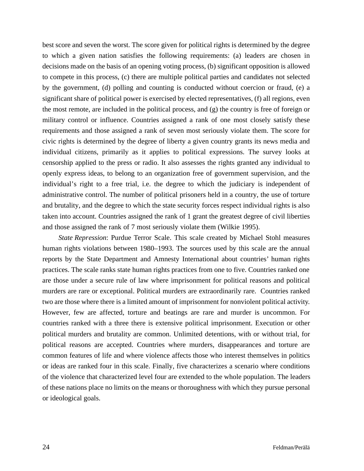best score and seven the worst. The score given for political rights is determined by the degree to which a given nation satisfies the following requirements: (a) leaders are chosen in decisions made on the basis of an opening voting process, (b) significant opposition is allowed to compete in this process, (c) there are multiple political parties and candidates not selected by the government, (d) polling and counting is conducted without coercion or fraud, (e) a significant share of political power is exercised by elected representatives, (f) all regions, even the most remote, are included in the political process, and (g) the country is free of foreign or military control or influence. Countries assigned a rank of one most closely satisfy these requirements and those assigned a rank of seven most seriously violate them. The score for civic rights is determined by the degree of liberty a given country grants its news media and individual citizens, primarily as it applies to political expressions. The survey looks at censorship applied to the press or radio. It also assesses the rights granted any individual to openly express ideas, to belong to an organization free of government supervision, and the individual's right to a free trial, i.e. the degree to which the judiciary is independent of administrative control. The number of political prisoners held in a country, the use of torture and brutality, and the degree to which the state security forces respect individual rights is also taken into account. Countries assigned the rank of 1 grant the greatest degree of civil liberties and those assigned the rank of 7 most seriously violate them (Wilkie 1995).

*State Repression:* Purdue Terror Scale. This scale created by Michael Stohl measures human rights violations between 1980–1993. The sources used by this scale are the annual reports by the State Department and Amnesty International about countries' human rights practices. The scale ranks state human rights practices from one to five. Countries ranked one are those under a secure rule of law where imprisonment for political reasons and political murders are rare or exceptional. Political murders are extraordinarily rare. Countries ranked two are those where there is a limited amount of imprisonment for nonviolent political activity. However, few are affected, torture and beatings are rare and murder is uncommon. For countries ranked with a three there is extensive political imprisonment. Execution or other political murders and brutality are common. Unlimited detentions, with or without trial, for political reasons are accepted. Countries where murders, disappearances and torture are common features of life and where violence affects those who interest themselves in politics or ideas are ranked four in this scale. Finally, five characterizes a scenario where conditions of the violence that characterized level four are extended to the whole population. The leaders of these nations place no limits on the means or thoroughness with which they pursue personal or ideological goals.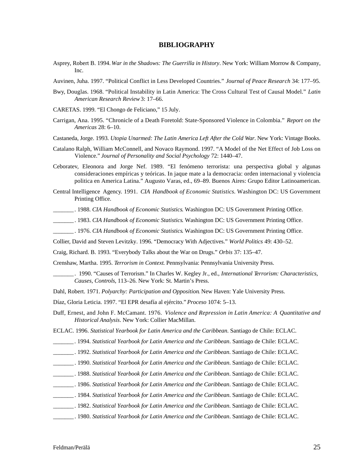#### **BIBLIOGRAPHY**

- Asprey, Robert B. 1994. *War in the Shadows: The Guerrilla in History*. New York: William Morrow & Company,  $Inc.$
- Auvinen, Juha. 1997. "Political Conflict in Less Developed Countries." *Journal of Peace Research* 34: 177–95.
- Bwy, Douglas. 1968. "Political Instability in Latin America: The Cross Cultural Test of Causal Model." *Latin American Research Review*3: 17–66.
- CARETAS. 1999. "El Chongo de Feliciano," 15 July.
- Carrigan, Ana. 1995. "Chronicle of a Death Foretold: State-Sponsored Violence in Colombia." *Report on the A m e r i c a s* 28: 6–10.
- Castaneda, Jorge. 1993. *Utopia Unarmed: The Latin America Left After the Cold War*. New York: Vintage Books.
- Catalano Ralph, William McConnell, and Novaco Raymond. 1997. "A Model of the Net Effect of Job Loss on Violence." *Journal of Personality and Social Psychology* 72: 1440–47.
- Ceboratev, Eleonora and Jorge Nef. 1989. "El fenómeno terrorista: una perspectiva global y algunas consideraciones empíricas y teóricas. In jaque mate a la democracia: orden internacional y violencia politica en America Latina." Augusto Varas, ed., 69–89. Buenos Aires: Grupo Editor Latinoamerican.
- Central Intelligence Agency. 1991. *CIA Handbook of Economic Statistics*. Washington DC: US Government Printing Office.
- . 1988. *CIA Handbook of Economic Statistics*. Washington DC: US Government Printing Office.
- . 1983. *CIA Handbook of Economic Statistics*. Washington DC: US Government Printing Office.
- . 1976. *CIA Handbook of Economic Statistics*. Washington DC: US Government Printing Office.
- Collier, David and Steven Levitzky. 1996. "Democracy With Adjectives." *World Politics* 49: 430-52.
- Craig, Richard. B. 1993. "Everybody Talks about the War on Drugs." *Orbis* 37: 135–47.
- Crenshaw, Martha. 1995. *Terrorism in Context*. Pennsylvania: Pennsylvania University Press.
	- \_ \_ \_ \_ \_ \_ \_. 1990. "Causes of Terrorism." In Charles W. Kegley Jr., ed., *International Te rrorism: Characteristics, Causes, Controls, 113-26. New York: St. Martin's Press.*
- Dahl, Robert. 1971. *Polyarchy: Participation and Opposition*. New Haven: Yale University Press.
- Díaz, Gloria Leticia. 1997. "El EPR desafía al ejército." *Proceso* 1074: 5-13.
- Duff, Ernest, and John F. McCamant. 1976. *Violence and Repression in Latin America: A Quantitative and Historical Analysis.* New York: Collier MacMillan.
- ECLAC. 1996. *Statistical Yearbook for Latin America and the Caribbean*. Santiago de Chile: ECLAC.
- \_ \_ \_ \_ \_ \_ \_. 1994. *Statistical Yearbook for Latin America and the Caribbean*. Santiago de Chile: ECLAC.
- \_ \_ \_ \_ \_ \_ \_. 1992. *Statistical Yearbook for Latin America and the Caribbean*. Santiago de Chile: ECLAC.
- \_ \_ \_ \_ \_ \_ \_. 1990. *Statistical Yearbook for Latin America and the Caribbean*. Santiago de Chile: ECLAC.
- \_ \_ \_ \_ \_ \_ \_. 1988. *Statistical Yearbook for Latin America and the Caribbean*. Santiago de Chile: ECLAC.
- \_ \_ \_ \_ \_ \_ \_. 1986. *Statistical Yearbook for Latin America and the Caribbean*. Santiago de Chile: ECLAC.
- \_ \_ \_ \_ \_ \_ \_ . 1984. *Statistical Yearbook for Latin America and the Caribbean*. Santiago de Chile: ECLAC.
- \_ \_ \_ \_ \_ \_ \_. 1982. *Statistical Yearbook for Latin America and the Caribbean*. Santiago de Chile: ECLAC.
- \_ \_ \_ \_ \_ \_ \_. 1980. *Statistical Yearbook for Latin America and the Caribbean*. Santiago de Chile: ECLAC.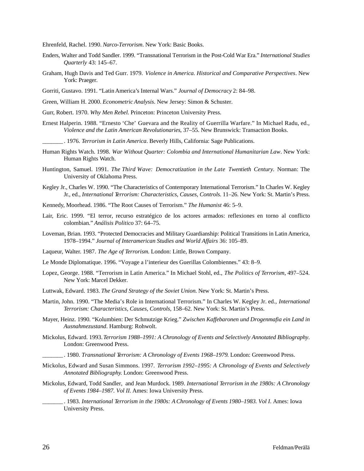Ehrenfeld, Rachel. 1990. *Narco-Terrorism*. New York: Basic Books.

- Enders, Walter and Todd Sandler. 1999. "Transnational Terrorism in the Post-Cold War Era." *International Studies Quarterly* 43: 145–67.
- Graham, Hugh Davis and Ted Gurr. 1979. *Violence in America. Historical and Comparative Perspectives*. New York: Praeger.
- Gorriti, Gustavo. 1991. "Latin America's Internal Wars." *Journal of Democracy* 2: 84–98.
- Green, William H. 2000. *Econometric Analysis*. New Jersey: Simon & Schuster.
- Gurr, Robert. 1970. *Why Men Rebel*. Princeton: Princeton University Press.
- Ernest Halperin. 1988. "Ernesto 'Che' Guevara and the Reality of Guerrilla Warfare." In Michael Radu, ed., *Violence and the Latin American Revolutionaries*, 37–55. New Brunswick: Transaction Books.
	- . 1976. *Terrorism in Latin America*. Beverly Hills, California: Sage Publications.
- Human Rights Watch. 1998. *War Without Ouarter: Colombia and International Humanitarian Law*. New York: Human Rights Watch.
- Huntington, Samuel. 1991. *The Third Wave: Democratization in the Late Twentieth Century*. Norman: The University of Oklahoma Press.
- Kegley Jr., Charles W. 1990. "The Characteristics of Contemporary International Terrorism." In Charles W. Kegley Jr., ed., *International Terrorism: Characteristics, Causes, Controls.* 11–26. New York: St. Martin's Press.
- Kennedy, Moorhead. 1986. "The Root Causes of Terrorism." *The Humanist* 46: 5–9.
- Lair, Eric. 1999. "El terror, recurso estratégico de los actores armados: reflexiones en torno al conflicto colombian." *Análisis Politico* 37: 64–75.
- Loveman, Brian. 1993. "Protected Democracies and Military Guardianship: Political Transitions in Latin America, 1978–1994." *Journal of Interamerican Studies and World Affairs* 36: 105–89.
- Laqueur, Walter. 1987. *The Age of Terrorism*. London: Little, Brown Company.
- Le Monde Diplomatique. 1996. "Voyage a l'interieur des Guerillas Colombiennes." 43: 8–9.
- Lopez, George. 1988. "Terrorism in Latin America." In Michael Stohl, ed., *The Politics of Terrorism*, 497-524. New York: Marcel Dekker.
- Luttwak, Edward. 1983. *The Grand Strategy of the Soviet Union*. New York: St. Martin's Press.
- Martin, John. 1990. "The Media's Role in International Terrorism." In Charles W. Kegley Jr. ed., *International Terrorism: Characteristics, Causes, Controls, 158–62. New York: St. Martin's Press.*
- Mayer, Heinz. 1990. "Kolumbien: Der Schmutzige Krieg." Zwischen Kaffebaronen und Drogenmafia ein Land in *A u s n a h m e z u s t a n d*. Hamburg: Rohwolt.
- Mickolus, Edward. 1993. *Te rrorism 1988–1991: A C h ronology of Events and Selectively Annotated Bibliography*. London: Greenwood Press.
	- \_ \_ \_ \_ \_ \_ \_ . 1980. *Transnational Te rrorism: A C h ronology of Events 1968–1979*. London: Greenwood Press.
- Mickolus, Edward and Susan Simmons. 1997. *Te rrorism 1992–1995: A C h ronology of Events and Selectively Annotated Bibliography*. London: Greenwood Press.
- Mickolus, Edward, Todd Sandler, and Jean Murdock. 1989. *International Terrorism in the 1980s: A Chronology of Events 1984–1987. Vol II.* Ames: Iowa University Press.
- \_ \_ \_ \_ \_ \_ \_ . 1983. *International Te rrorism in the 1980s: A C h ronology of Events 1980–1983. Vol I*. Ames: Iowa University Press.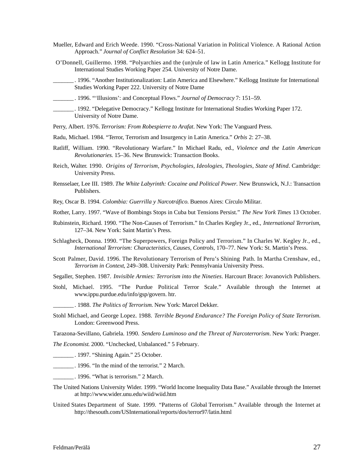- Mueller, Edward and Erich Weede. 1990. "Cross-National Variation in Political Violence. A Rational Action Approach." *Journal of Conflict Resolution* 34: 624–51.
- O'Donnell, Guillermo. 1998. "Polyarchies and the (un)rule of law in Latin America." Kellogg Institute for International Studies Working Paper 254. University of Notre Dame.
- \_ \_ \_ \_ \_ \_ \_ . 1996. "Another Institutionalization: Latin America and Elsewhere." Kellogg Institute for International Studies Working Paper 222. University of Notre Dame
- \_ \_ \_ \_ \_ \_ \_ . 1996. "'Illusions': and Conceptual Flows." *Journal of Democracy* 7: 151–59.
- . 1992. "Delegative Democracy." Kellogg Institute for International Studies Working Paper 172. University of Notre Dame.
- Perry, Albert. 1976. *Terrorism: From Robespierre to Arafat*. New York: The Vanguard Press.
- Radu, Michael. 1984. "Terror, Terrorism and Insurgency in Latin America." Orbis 2: 27–38.
- Ratliff, William. 1990. "Revolutionary Warfare." In Michael Radu, ed., *Violence and the Latin American Revolutionaries.* 15–36. New Brunswick: Transaction Books.
- Reich, Walter. 1990. *Origins of Terrorism, Psychologies, Ideologies, Theologies, State of Mind.* Cambridge: University Press.
- Rensselaer, Lee III. 1989. *The White Labyrinth: Cocaine and Political Power*. New Brunswick, N.J.: Transaction Publishers.
- Rey, Oscar B. 1994. *Colombia: Guerrilla y Narcotráfico*. Buenos Aires: Círculo Militar.
- Rother, Larry. 1997. "Wave of Bombings Stops in Cuba but Tensions Persist." *The New York Times* 13 October.
- Rubinstein, Richard. 1990. "The Non-Causes of Terrorism." In Charles Kegley Jr., ed., *International Terrorism*, 127–34. New York: Saint Martin's Press.
- Schlagheck, Donna. 1990. "The Superpowers, Foreign Policy and Terrorism." In Charles W. Kegley Jr., ed., *International Terrorism: Characteristics, Causes, Controls, 170–77. New York: St. Martin's Press.*
- Scott Palmer, David. 1996. The Revolutionary Terrorism of Peru's Shining Path. In Martha Crenshaw, ed., *Te rrorism in Context*, 249–308. University Park: Pennsylvania University Press.
- Segaller, Stephen. 1987. *Invisible Armies: Terrorism into the Nineties*. Harcourt Brace: Jovanovich Publishers.
- Stohl, Michael. 1995. "The Purdue Political Terror Scale." Available through the Internet at w w w.ippu.purdue.edu/info/gsp/govern. htr.
	- \_ \_ \_ \_ \_ \_ \_. 1988. *The Politics of Te rro r i s m*. New York: Marcel Dekker.
- Stohl Michael, and George Lopez. 1988. *Terrible Beyond Endurance? The Foreign Policy of State Terrorism.* London: Greenwood Press.
- Tarazona-Sevillano, Gabriela. 1990. *Sendero Luminoso and the Threat of Narcoterrorism*. New York: Praeger.
- *The Economist*. 2000. "Unchecked, Unbalanced." 5 February.
- \_\_\_\_\_. 1997. "Shining Again." 25 October.
- $. 1996.$  "In the mind of the terrorist." 2 March.
- . 1996. "What is terrorism." 2 March.
- The United Nations University Wider. 1999. "World Income Inequality Data Base." Available through the Internet at http://www.wider.unu.edu/wiid/wiid.htm
- United States Department of State. 1999. "Patterns of Global Terrorism." Available through the Internet at http://thesouth.com/USInternational/reports/dos/terror97/latin.html